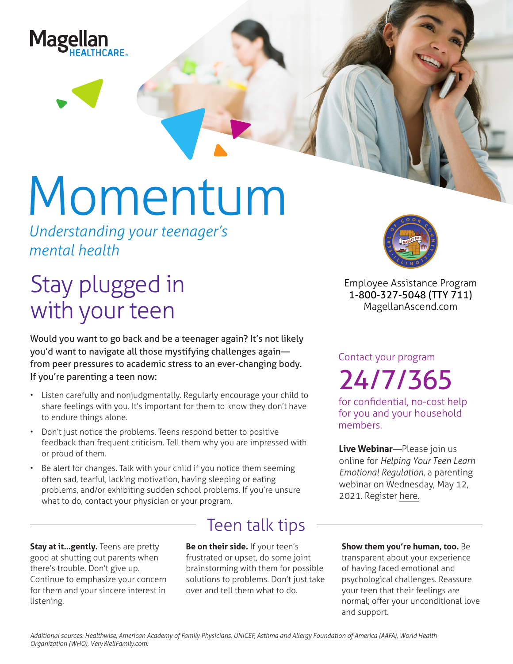

# Momentum

*Understanding your teenager's mental health*

## Stay plugged in with your teen

Would you want to go back and be a teenager again? It's not likely you'd want to navigate all those mystifying challenges again from peer pressures to academic stress to an ever-changing body. If you're parenting a teen now:

- Listen carefully and nonjudgmentally. Regularly encourage your child to share feelings with you. It's important for them to know they don't have to endure things alone.
- Don't just notice the problems. Teens respond better to positive feedback than frequent criticism. Tell them why you are impressed with or proud of them.
- Be alert for changes. Talk with your child if you notice them seeming often sad, tearful, lacking motivation, having sleeping or eating problems, and/or exhibiting sudden school problems. If you're unsure what to do, contact your physician or your program.

**Stay at it...gently.** Teens are pretty good at shutting out parents when there's trouble. Don't give up. Continue to emphasize your concern for them and your sincere interest in listening.

### Teen talk tips

**Be on their side.** If your teen's frustrated or upset, do some joint brainstorming with them for possible solutions to problems. Don't just take over and tell them what to do.



**Employee Assistance Program 1-800-327-5048 (TTY 711) MagellanAscend.com**

Contact your program 24/7/365

for confidential, no-cost help for you and your household members.

**Live Webinar**—Please join us online for *Helping Your Teen Learn Emotional Regulation*, a parenting webinar on Wednesday, May 12, 2021. Register [here.](https://events-na4.adobeconnect.com/content/connect/c1/825364167/en/events/event/shared/default_template_simple/event_registration.html?sco-id=1842530766&_charset_=utf-8)

**Show them you're human, too.** Be transparent about your experience of having faced emotional and psychological challenges. Reassure your teen that their feelings are normal; offer your unconditional love and support.